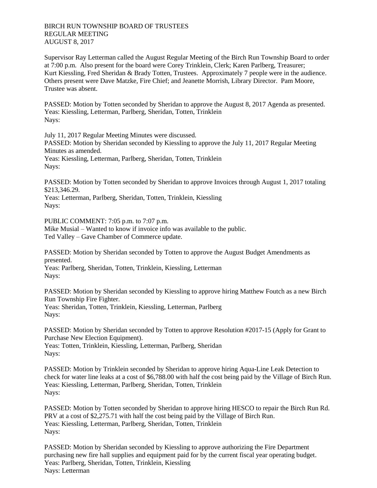Supervisor Ray Letterman called the August Regular Meeting of the Birch Run Township Board to order at 7:00 p.m. Also present for the board were Corey Trinklein, Clerk; Karen Parlberg, Treasurer; Kurt Kiessling, Fred Sheridan & Brady Totten, Trustees. Approximately 7 people were in the audience. Others present were Dave Matzke, Fire Chief; and Jeanette Morrish, Library Director. Pam Moore, Trustee was absent.

PASSED: Motion by Totten seconded by Sheridan to approve the August 8, 2017 Agenda as presented. Yeas: Kiessling, Letterman, Parlberg, Sheridan, Totten, Trinklein Nays:

July 11, 2017 Regular Meeting Minutes were discussed.

PASSED: Motion by Sheridan seconded by Kiessling to approve the July 11, 2017 Regular Meeting Minutes as amended. Yeas: Kiessling, Letterman, Parlberg, Sheridan, Totten, Trinklein

Nays:

PASSED: Motion by Totten seconded by Sheridan to approve Invoices through August 1, 2017 totaling \$213,346.29.

Yeas: Letterman, Parlberg, Sheridan, Totten, Trinklein, Kiessling Nays:

PUBLIC COMMENT: 7:05 p.m. to 7:07 p.m. Mike Musial – Wanted to know if invoice info was available to the public. Ted Valley – Gave Chamber of Commerce update.

PASSED: Motion by Sheridan seconded by Totten to approve the August Budget Amendments as presented.

Yeas: Parlberg, Sheridan, Totten, Trinklein, Kiessling, Letterman Nays:

PASSED: Motion by Sheridan seconded by Kiessling to approve hiring Matthew Foutch as a new Birch Run Township Fire Fighter. Yeas: Sheridan, Totten, Trinklein, Kiessling, Letterman, Parlberg Nays:

PASSED: Motion by Sheridan seconded by Totten to approve Resolution #2017-15 (Apply for Grant to Purchase New Election Equipment).

Yeas: Totten, Trinklein, Kiessling, Letterman, Parlberg, Sheridan Nays:

PASSED: Motion by Trinklein seconded by Sheridan to approve hiring Aqua-Line Leak Detection to check for water line leaks at a cost of \$6,788.00 with half the cost being paid by the Village of Birch Run. Yeas: Kiessling, Letterman, Parlberg, Sheridan, Totten, Trinklein Nays:

PASSED: Motion by Totten seconded by Sheridan to approve hiring HESCO to repair the Birch Run Rd. PRV at a cost of \$2,275.71 with half the cost being paid by the Village of Birch Run. Yeas: Kiessling, Letterman, Parlberg, Sheridan, Totten, Trinklein Nays:

PASSED: Motion by Sheridan seconded by Kiessling to approve authorizing the Fire Department purchasing new fire hall supplies and equipment paid for by the current fiscal year operating budget. Yeas: Parlberg, Sheridan, Totten, Trinklein, Kiessling Nays: Letterman